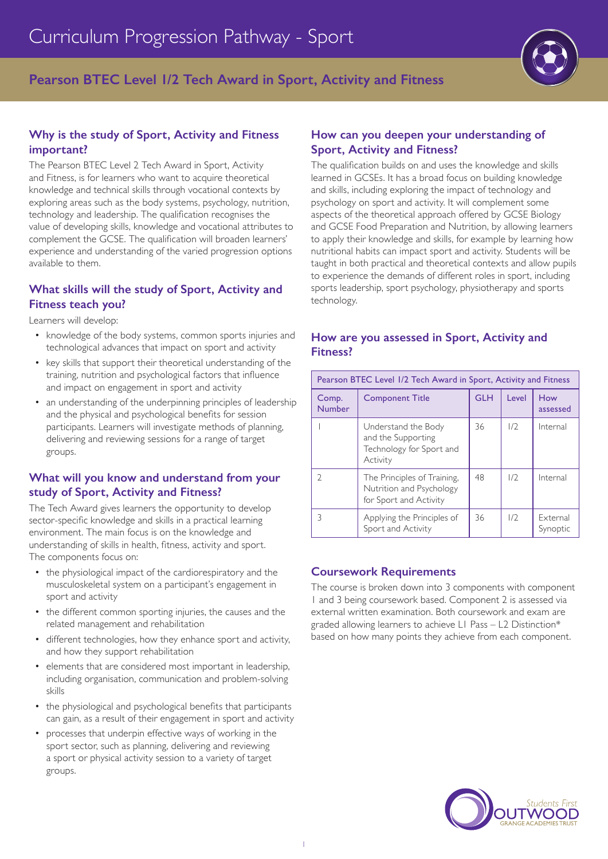**Pearson BTEC Level 1/2 Tech Award in Sport, Activity and Fitness**

## **Why is the study of Sport, Activity and Fitness important?**

The Pearson BTEC Level 2 Tech Award in Sport, Activity and Fitness, is for learners who want to acquire theoretical knowledge and technical skills through vocational contexts by exploring areas such as the body systems, psychology, nutrition, technology and leadership. The qualification recognises the value of developing skills, knowledge and vocational attributes to complement the GCSE. The qualification will broaden learners' experience and understanding of the varied progression options available to them.

## **What skills will the study of Sport, Activity and Fitness teach you?**

Learners will develop:

- knowledge of the body systems, common sports injuries and technological advances that impact on sport and activity
- key skills that support their theoretical understanding of the training, nutrition and psychological factors that influence and impact on engagement in sport and activity
- an understanding of the underpinning principles of leadership and the physical and psychological benefits for session participants. Learners will investigate methods of planning, delivering and reviewing sessions for a range of target groups.

## **What will you know and understand from your study of Sport, Activity and Fitness?**

The Tech Award gives learners the opportunity to develop sector-specific knowledge and skills in a practical learning environment. The main focus is on the knowledge and understanding of skills in health, fitness, activity and sport. The components focus on:

- the physiological impact of the cardiorespiratory and the musculoskeletal system on a participant's engagement in sport and activity
- the different common sporting injuries, the causes and the related management and rehabilitation
- different technologies, how they enhance sport and activity, and how they support rehabilitation
- elements that are considered most important in leadership, including organisation, communication and problem-solving skills
- the physiological and psychological benefits that participants can gain, as a result of their engagement in sport and activity
- processes that underpin effective ways of working in the sport sector, such as planning, delivering and reviewing a sport or physical activity session to a variety of target groups.

#### **How can you deepen your understanding of Sport, Activity and Fitness?**

The qualification builds on and uses the knowledge and skills learned in GCSEs. It has a broad focus on building knowledge and skills, including exploring the impact of technology and psychology on sport and activity. It will complement some aspects of the theoretical approach offered by GCSE Biology and GCSE Food Preparation and Nutrition, by allowing learners to apply their knowledge and skills, for example by learning how nutritional habits can impact sport and activity. Students will be taught in both practical and theoretical contexts and allow pupils to experience the demands of different roles in sport, including sports leadership, sport psychology, physiotherapy and sports technology.

#### **How are you assessed in Sport, Activity and Fitness?**

| Pearson BTEC Level 1/2 Tech Award in Sport, Activity and Fitness |                                                                                   |            |       |                      |  |
|------------------------------------------------------------------|-----------------------------------------------------------------------------------|------------|-------|----------------------|--|
| Comp.<br><b>Number</b>                                           | <b>Component Title</b>                                                            | <b>GLH</b> | Level | How<br>assessed      |  |
|                                                                  | Understand the Body<br>and the Supporting<br>Technology for Sport and<br>Activity | 36         | 1/2   | Internal             |  |
| $\mathcal{D}$                                                    | The Principles of Training,<br>Nutrition and Psychology<br>for Sport and Activity | 48         | 1/2   | Internal             |  |
| 3                                                                | Applying the Principles of<br>Sport and Activity                                  | 36         | 1/2   | External<br>Synoptic |  |

### **Coursework Requirements**

The course is broken down into 3 components with component 1 and 3 being coursework based. Component 2 is assessed via external written examination. Both coursework and exam are graded allowing learners to achieve L1 Pass – L2 Distinction\* based on how many points they achieve from each component.

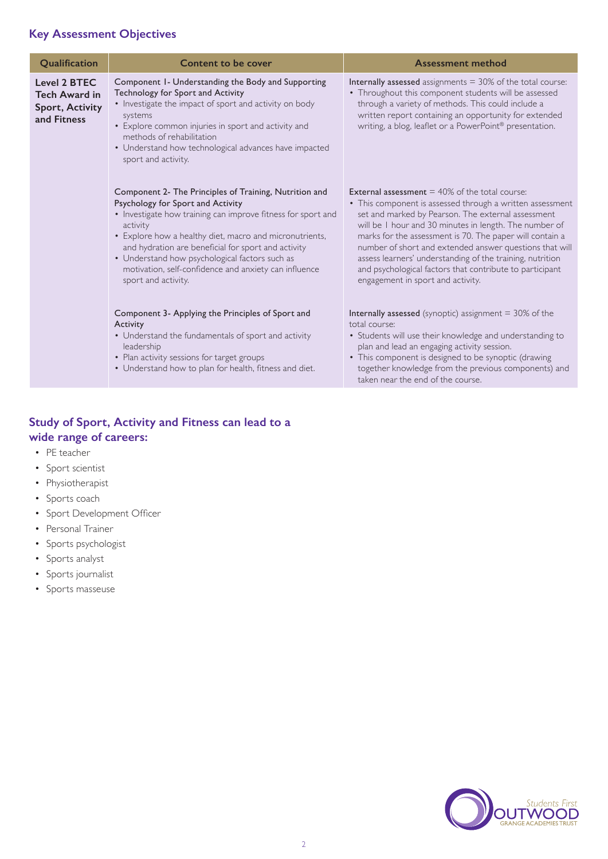# **Key Assessment Objectives**

| Qualification                                                                 | Content to be cover                                                                                                                                                                                                                                                                                                                                                                                                         | <b>Assessment method</b>                                                                                                                                                                                                                                                                                                                                                                                                                                                                                                  |
|-------------------------------------------------------------------------------|-----------------------------------------------------------------------------------------------------------------------------------------------------------------------------------------------------------------------------------------------------------------------------------------------------------------------------------------------------------------------------------------------------------------------------|---------------------------------------------------------------------------------------------------------------------------------------------------------------------------------------------------------------------------------------------------------------------------------------------------------------------------------------------------------------------------------------------------------------------------------------------------------------------------------------------------------------------------|
| Level 2 BTEC<br><b>Tech Award in</b><br><b>Sport, Activity</b><br>and Fitness | Component 1- Understanding the Body and Supporting<br>Technology for Sport and Activity<br>• Investigate the impact of sport and activity on body<br>systems<br>• Explore common injuries in sport and activity and<br>methods of rehabilitation<br>• Understand how technological advances have impacted<br>sport and activity.                                                                                            | <b>Internally assessed</b> assignments $=$ 30% of the total course:<br>• Throughout this component students will be assessed<br>through a variety of methods. This could include a<br>written report containing an opportunity for extended<br>writing, a blog, leaflet or a PowerPoint® presentation.                                                                                                                                                                                                                    |
|                                                                               | Component 2- The Principles of Training, Nutrition and<br>Psychology for Sport and Activity<br>• Investigate how training can improve fitness for sport and<br>activity<br>• Explore how a healthy diet, macro and micronutrients,<br>and hydration are beneficial for sport and activity<br>• Understand how psychological factors such as<br>motivation, self-confidence and anxiety can influence<br>sport and activity. | <b>External assessment</b> $=$ 40% of the total course:<br>• This component is assessed through a written assessment<br>set and marked by Pearson. The external assessment<br>will be I hour and 30 minutes in length. The number of<br>marks for the assessment is 70. The paper will contain a<br>number of short and extended answer questions that will<br>assess learners' understanding of the training, nutrition<br>and psychological factors that contribute to participant<br>engagement in sport and activity. |
|                                                                               | Component 3- Applying the Principles of Sport and<br>Activity<br>• Understand the fundamentals of sport and activity<br>leadership<br>• Plan activity sessions for target groups<br>• Understand how to plan for health, fitness and diet.                                                                                                                                                                                  | <b>Internally assessed</b> (synoptic) assignment $=$ 30% of the<br>total course:<br>• Students will use their knowledge and understanding to<br>plan and lead an engaging activity session.<br>• This component is designed to be synoptic (drawing<br>together knowledge from the previous components) and<br>taken near the end of the course.                                                                                                                                                                          |

## **Study of Sport, Activity and Fitness can lead to a wide range of careers:**

- PE teacher
- Sport scientist
- Physiotherapist
- Sports coach
- Sport Development Officer
- Personal Trainer
- Sports psychologist
- Sports analyst
- Sports journalist
- Sports masseuse